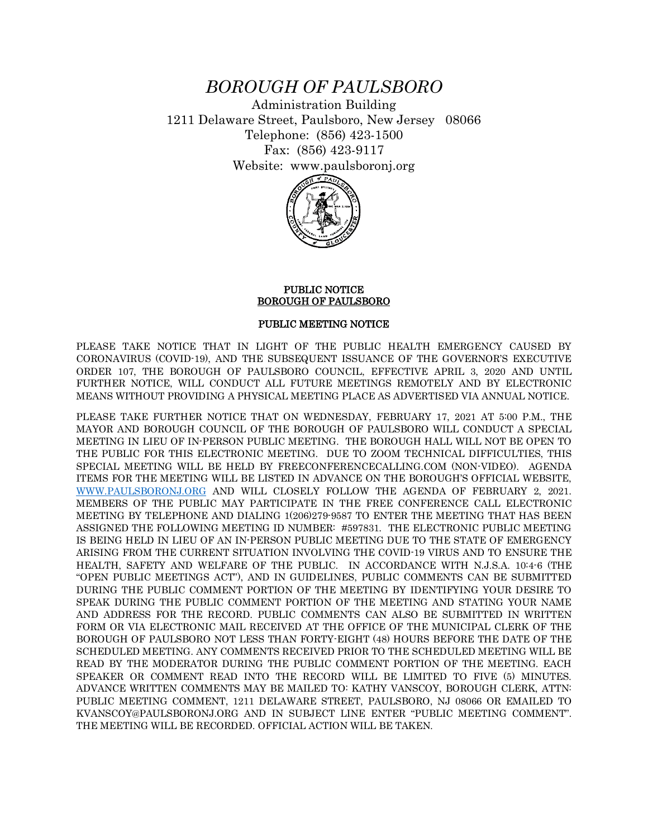## *BOROUGH OF PAULSBORO*

Administration Building 1211 Delaware Street, Paulsboro, New Jersey 08066 Telephone: (856) 423-1500 Fax: (856) 423-9117 Website: www.paulsboronj.org



## PUBLIC NOTICE BOROUGH OF PAULSBORO

## PUBLIC MEETING NOTICE

PLEASE TAKE NOTICE THAT IN LIGHT OF THE PUBLIC HEALTH EMERGENCY CAUSED BY CORONAVIRUS (COVID-19), AND THE SUBSEQUENT ISSUANCE OF THE GOVERNOR'S EXECUTIVE ORDER 107, THE BOROUGH OF PAULSBORO COUNCIL, EFFECTIVE APRIL 3, 2020 AND UNTIL FURTHER NOTICE, WILL CONDUCT ALL FUTURE MEETINGS REMOTELY AND BY ELECTRONIC MEANS WITHOUT PROVIDING A PHYSICAL MEETING PLACE AS ADVERTISED VIA ANNUAL NOTICE.

PLEASE TAKE FURTHER NOTICE THAT ON WEDNESDAY, FEBRUARY 17, 2021 AT 5:00 P.M., THE MAYOR AND BOROUGH COUNCIL OF THE BOROUGH OF PAULSBORO WILL CONDUCT A SPECIAL MEETING IN LIEU OF IN-PERSON PUBLIC MEETING. THE BOROUGH HALL WILL NOT BE OPEN TO THE PUBLIC FOR THIS ELECTRONIC MEETING. DUE TO ZOOM TECHNICAL DIFFICULTIES, THIS SPECIAL MEETING WILL BE HELD BY FREECONFERENCECALLING.COM (NON-VIDEO). AGENDA ITEMS FOR THE MEETING WILL BE LISTED IN ADVANCE ON THE BOROUGH'S OFFICIAL WEBSITE, [WWW.PAULSBORONJ.ORG](http://www.paulsboronj.org/) AND WILL CLOSELY FOLLOW THE AGENDA OF FEBRUARY 2, 2021. MEMBERS OF THE PUBLIC MAY PARTICIPATE IN THE FREE CONFERENCE CALL ELECTRONIC MEETING BY TELEPHONE AND DIALING 1(206)279-9587 TO ENTER THE MEETING THAT HAS BEEN ASSIGNED THE FOLLOWING MEETING ID NUMBER: #597831. THE ELECTRONIC PUBLIC MEETING IS BEING HELD IN LIEU OF AN IN-PERSON PUBLIC MEETING DUE TO THE STATE OF EMERGENCY ARISING FROM THE CURRENT SITUATION INVOLVING THE COVID-19 VIRUS AND TO ENSURE THE HEALTH, SAFETY AND WELFARE OF THE PUBLIC. IN ACCORDANCE WITH N.J.S.A. 10:4-6 (THE "OPEN PUBLIC MEETINGS ACT"), AND IN GUIDELINES, PUBLIC COMMENTS CAN BE SUBMITTED DURING THE PUBLIC COMMENT PORTION OF THE MEETING BY IDENTIFYING YOUR DESIRE TO SPEAK DURING THE PUBLIC COMMENT PORTION OF THE MEETING AND STATING YOUR NAME AND ADDRESS FOR THE RECORD. PUBLIC COMMENTS CAN ALSO BE SUBMITTED IN WRITTEN FORM OR VIA ELECTRONIC MAIL RECEIVED AT THE OFFICE OF THE MUNICIPAL CLERK OF THE BOROUGH OF PAULSBORO NOT LESS THAN FORTY-EIGHT (48) HOURS BEFORE THE DATE OF THE SCHEDULED MEETING. ANY COMMENTS RECEIVED PRIOR TO THE SCHEDULED MEETING WILL BE READ BY THE MODERATOR DURING THE PUBLIC COMMENT PORTION OF THE MEETING. EACH SPEAKER OR COMMENT READ INTO THE RECORD WILL BE LIMITED TO FIVE (5) MINUTES. ADVANCE WRITTEN COMMENTS MAY BE MAILED TO: KATHY VANSCOY, BOROUGH CLERK, ATTN: PUBLIC MEETING COMMENT, 1211 DELAWARE STREET, PAULSBORO, NJ 08066 OR EMAILED TO KVANSCOY@PAULSBORONJ.ORG AND IN SUBJECT LINE ENTER "PUBLIC MEETING COMMENT". THE MEETING WILL BE RECORDED. OFFICIAL ACTION WILL BE TAKEN.